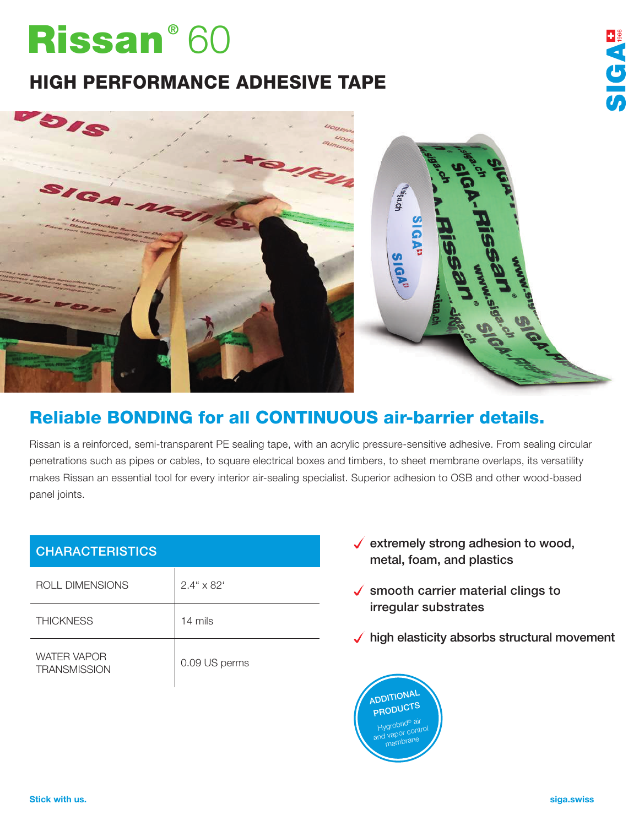## Rissan® 60

## HIGH PERFORMANCE ADHESIVE TAPE





## Reliable BONDING for all CONTINUOUS air-barrier details.

Rissan is a reinforced, semi-transparent PE sealing tape, with an acrylic pressure-sensitive adhesive. From sealing circular penetrations such as pipes or cables, to square electrical boxes and timbers, to sheet membrane overlaps, its versatility makes Rissan an essential tool for every interior air-sealing specialist. Superior adhesion to OSB and other wood-based panel joints.

| <b>CHARACTERISTICS</b>                    |               |
|-------------------------------------------|---------------|
| ROLL DIMENSIONS                           | $2.4$ " x 82' |
| <b>THICKNESS</b>                          | 14 mils       |
| <b>WATER VAPOR</b><br><b>TRANSMISSION</b> | 0.09 US perms |

- $\checkmark$  extremely strong adhesion to wood, metal, foam, and plastics
- $\checkmark$  smooth carrier material clings to irregular substrates
- $\checkmark$  high elasticity absorbs structural movement